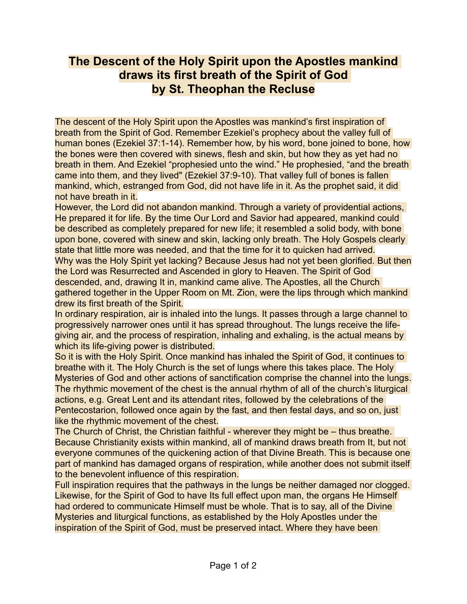## **The Descent of the Holy Spirit upon the Apostles mankind draws its first breath of the Spirit of God by St. Theophan the Recluse**

The descent of the Holy Spirit upon the Apostles was mankind's first inspiration of breath from the Spirit of God. Remember Ezekiel's prophecy about the valley full of human bones (Ezekiel 37:1-14). Remember how, by his word, bone joined to bone, how the bones were then covered with sinews, flesh and skin, but how they as yet had no breath in them. And Ezekiel "prophesied unto the wind." He prophesied, "and the breath came into them, and they lived" (Ezekiel 37:9-10). That valley full of bones is fallen mankind, which, estranged from God, did not have life in it. As the prophet said, it did not have breath in it.

However, the Lord did not abandon mankind. Through a variety of providential actions, He prepared it for life. By the time Our Lord and Savior had appeared, mankind could be described as completely prepared for new life; it resembled a solid body, with bone upon bone, covered with sinew and skin, lacking only breath. The Holy Gospels clearly state that little more was needed, and that the time for it to quicken had arrived. Why was the Holy Spirit yet lacking? Because Jesus had not yet been glorified. But then the Lord was Resurrected and Ascended in glory to Heaven. The Spirit of God descended, and, drawing It in, mankind came alive. The Apostles, all the Church gathered together in the Upper Room on Mt. Zion, were the lips through which mankind drew its first breath of the Spirit.

In ordinary respiration, air is inhaled into the lungs. It passes through a large channel to progressively narrower ones until it has spread throughout. The lungs receive the lifegiving air, and the process of respiration, inhaling and exhaling, is the actual means by which its life-giving power is distributed.

So it is with the Holy Spirit. Once mankind has inhaled the Spirit of God, it continues to breathe with it. The Holy Church is the set of lungs where this takes place. The Holy Mysteries of God and other actions of sanctification comprise the channel into the lungs. The rhythmic movement of the chest is the annual rhythm of all of the church's liturgical actions, e.g. Great Lent and its attendant rites, followed by the celebrations of the Pentecostarion, followed once again by the fast, and then festal days, and so on, just like the rhythmic movement of the chest.

The Church of Christ, the Christian faithful - wherever they might be – thus breathe. Because Christianity exists within mankind, all of mankind draws breath from It, but not everyone communes of the quickening action of that Divine Breath. This is because one part of mankind has damaged organs of respiration, while another does not submit itself to the benevolent influence of this respiration.

Full inspiration requires that the pathways in the lungs be neither damaged nor clogged. Likewise, for the Spirit of God to have Its full effect upon man, the organs He Himself had ordered to communicate Himself must be whole. That is to say, all of the Divine Mysteries and liturgical functions, as established by the Holy Apostles under the inspiration of the Spirit of God, must be preserved intact. Where they have been